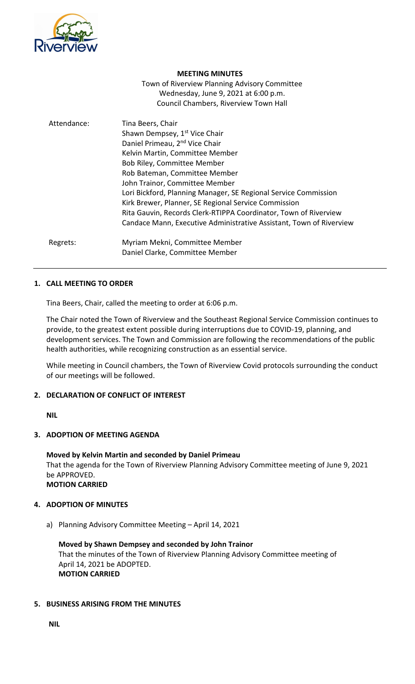

#### **MEETING MINUTES**

Town of Riverview Planning Advisory Committee Wednesday, June 9, 2021 at 6:00 p.m. Council Chambers, Riverview Town Hall

| Attendance: | Tina Beers, Chair<br>Shawn Dempsey, 1 <sup>st</sup> Vice Chair<br>Daniel Primeau, 2 <sup>nd</sup> Vice Chair<br>Kelvin Martin, Committee Member<br>Bob Riley, Committee Member<br>Rob Bateman, Committee Member<br>John Trainor, Committee Member<br>Lori Bickford, Planning Manager, SE Regional Service Commission<br>Kirk Brewer, Planner, SE Regional Service Commission<br>Rita Gauvin, Records Clerk-RTIPPA Coordinator, Town of Riverview<br>Candace Mann, Executive Administrative Assistant, Town of Riverview |
|-------------|-------------------------------------------------------------------------------------------------------------------------------------------------------------------------------------------------------------------------------------------------------------------------------------------------------------------------------------------------------------------------------------------------------------------------------------------------------------------------------------------------------------------------|
| Regrets:    | Myriam Mekni, Committee Member                                                                                                                                                                                                                                                                                                                                                                                                                                                                                          |
|             | Daniel Clarke, Committee Member                                                                                                                                                                                                                                                                                                                                                                                                                                                                                         |

## **1. CALL MEETING TO ORDER**

Tina Beers, Chair, called the meeting to order at 6:06 p.m.

The Chair noted the Town of Riverview and the Southeast Regional Service Commission continues to provide, to the greatest extent possible during interruptions due to COVID-19, planning, and development services. The Town and Commission are following the recommendations of the public health authorities, while recognizing construction as an essential service.

While meeting in Council chambers, the Town of Riverview Covid protocols surrounding the conduct of our meetings will be followed.

## **2. DECLARATION OF CONFLICT OF INTEREST**

**NIL**

#### **3. ADOPTION OF MEETING AGENDA**

**Moved by Kelvin Martin and seconded by Daniel Primeau** That the agenda for the Town of Riverview Planning Advisory Committee meeting of June 9, 2021 be APPROVED. **MOTION CARRIED**

## **4. ADOPTION OF MINUTES**

a) Planning Advisory Committee Meeting – April 14, 2021

**Moved by Shawn Dempsey and seconded by John Trainor** That the minutes of the Town of Riverview Planning Advisory Committee meeting of April 14, 2021 be ADOPTED. **MOTION CARRIED**

## **5. BUSINESS ARISING FROM THE MINUTES**

**NIL**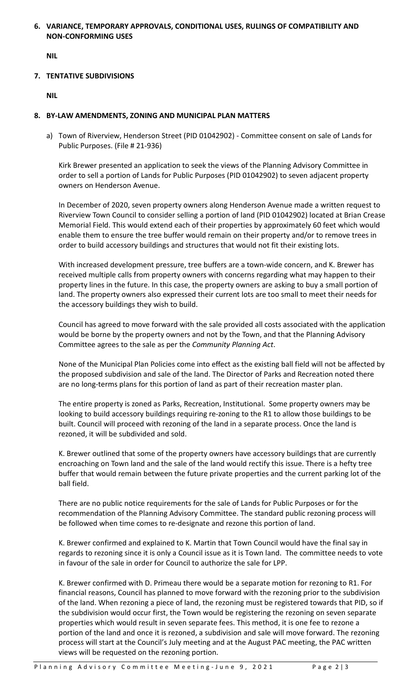## **6. VARIANCE, TEMPORARY APPROVALS, CONDITIONAL USES, RULINGS OF COMPATIBILITY AND NON-CONFORMING USES**

**NIL**

## **7. TENTATIVE SUBDIVISIONS**

**NIL**

## **8. BY-LAW AMENDMENTS, ZONING AND MUNICIPAL PLAN MATTERS**

a) Town of Riverview, Henderson Street (PID 01042902) - Committee consent on sale of Lands for Public Purposes. (File # 21-936)

Kirk Brewer presented an application to seek the views of the Planning Advisory Committee in order to sell a portion of Lands for Public Purposes (PID 01042902) to seven adjacent property owners on Henderson Avenue.

In December of 2020, seven property owners along Henderson Avenue made a written request to Riverview Town Council to consider selling a portion of land (PID 01042902) located at Brian Crease Memorial Field. This would extend each of their properties by approximately 60 feet which would enable them to ensure the tree buffer would remain on their property and/or to remove trees in order to build accessory buildings and structures that would not fit their existing lots.

With increased development pressure, tree buffers are a town-wide concern, and K. Brewer has received multiple calls from property owners with concerns regarding what may happen to their property lines in the future. In this case, the property owners are asking to buy a small portion of land. The property owners also expressed their current lots are too small to meet their needs for the accessory buildings they wish to build.

Council has agreed to move forward with the sale provided all costs associated with the application would be borne by the property owners and not by the Town, and that the Planning Advisory Committee agrees to the sale as per the *Community Planning Act*.

None of the Municipal Plan Policies come into effect as the existing ball field will not be affected by the proposed subdivision and sale of the land. The Director of Parks and Recreation noted there are no long-terms plans for this portion of land as part of their recreation master plan.

The entire property is zoned as Parks, Recreation, Institutional. Some property owners may be looking to build accessory buildings requiring re-zoning to the R1 to allow those buildings to be built. Council will proceed with rezoning of the land in a separate process. Once the land is rezoned, it will be subdivided and sold.

K. Brewer outlined that some of the property owners have accessory buildings that are currently encroaching on Town land and the sale of the land would rectify this issue. There is a hefty tree buffer that would remain between the future private properties and the current parking lot of the ball field.

There are no public notice requirements for the sale of Lands for Public Purposes or for the recommendation of the Planning Advisory Committee. The standard public rezoning process will be followed when time comes to re-designate and rezone this portion of land.

K. Brewer confirmed and explained to K. Martin that Town Council would have the final say in regards to rezoning since it is only a Council issue as it is Town land. The committee needs to vote in favour of the sale in order for Council to authorize the sale for LPP.

K. Brewer confirmed with D. Primeau there would be a separate motion for rezoning to R1. For financial reasons, Council has planned to move forward with the rezoning prior to the subdivision of the land. When rezoning a piece of land, the rezoning must be registered towards that PID, so if the subdivision would occur first, the Town would be registering the rezoning on seven separate properties which would result in seven separate fees. This method, it is one fee to rezone a portion of the land and once it is rezoned, a subdivision and sale will move forward. The rezoning process will start at the Council's July meeting and at the August PAC meeting, the PAC written views will be requested on the rezoning portion.